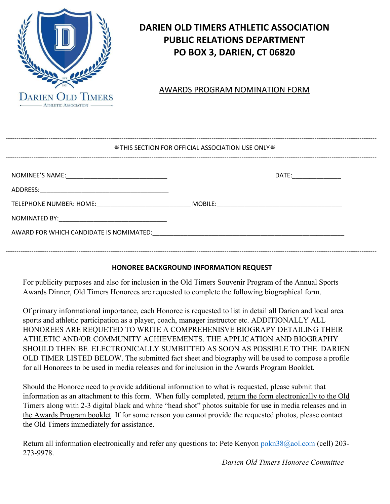

# **DARIEN OLD TIMERS ATHLETIC ASSOCIATION PUBLIC RELATIONS DEPARTMENT PO BOX 3, DARIEN, CT 06820**

## AWARDS PROGRAM NOMINATION FORM

| <b>※THIS SECTION FOR OFFICIAL ASSOCIATION USE ONLY ※</b>                                                                                                                                                                       |  |                     |  |
|--------------------------------------------------------------------------------------------------------------------------------------------------------------------------------------------------------------------------------|--|---------------------|--|
|                                                                                                                                                                                                                                |  | DATE: _____________ |  |
|                                                                                                                                                                                                                                |  |                     |  |
| TELEPHONE NUMBER: HOME: NAME: NOBILE: NOBILE:                                                                                                                                                                                  |  |                     |  |
|                                                                                                                                                                                                                                |  |                     |  |
| AWARD FOR WHICH CANDIDATE IS NOMIMATED: The account of the contract of the contract of the contract of the contract of the contract of the contract of the contract of the contract of the contract of the contract of the con |  |                     |  |
|                                                                                                                                                                                                                                |  |                     |  |

### **HONOREE BACKGROUND INFORMATION REQUEST**

For publicity purposes and also for inclusion in the Old Timers Souvenir Program of the Annual Sports Awards Dinner, Old Timers Honorees are requested to complete the following biographical form.

Of primary informational importance, each Honoree is requested to list in detail all Darien and local area sports and athletic participation as a player, coach, manager instructor etc. ADDITIONALLY ALL HONOREES ARE REQUETED TO WRITE A COMPREHENISVE BIOGRAPY DETAILING THEIR ATHLETIC AND/OR COMMUNITY ACHIEVEMENTS. THE APPLICATION AND BIOGRAPHY SHOULD THEN BE ELECTRONICALLY SUMBITTED AS SOON AS POSSIBLE TO THE DARIEN OLD TIMER LISTED BELOW. The submitted fact sheet and biography will be used to compose a profile for all Honorees to be used in media releases and for inclusion in the Awards Program Booklet.

Should the Honoree need to provide additional information to what is requested, please submit that information as an attachment to this form. When fully completed, return the form electronically to the Old Timers along with 2-3 digital black and white "head shot" photos suitable for use in media releases and in the Awards Program booklet. If for some reason you cannot provide the requested photos, please contact the Old Timers immediately for assistance.

Return all information electronically and refer any questions to: Pete Kenyon [pokn38@aol.com](mailto:pokn38@aol.com) (cell) 203-273-9978.

*-Darien Old Timers Honoree Committee*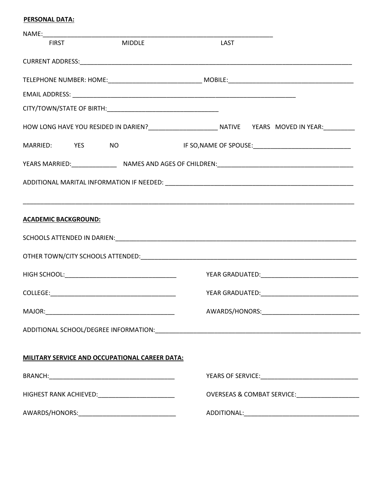#### **PERSONAL DATA:**

| <b>FIRST</b>                | <b>MIDDLE</b>                                    | LAST                                      |  |
|-----------------------------|--------------------------------------------------|-------------------------------------------|--|
|                             |                                                  |                                           |  |
|                             |                                                  |                                           |  |
|                             |                                                  |                                           |  |
|                             |                                                  |                                           |  |
|                             |                                                  |                                           |  |
|                             |                                                  | MARRIED: YES NO NO IF SO, NAME OF SPOUSE: |  |
|                             |                                                  |                                           |  |
|                             |                                                  |                                           |  |
|                             |                                                  |                                           |  |
| <b>ACADEMIC BACKGROUND:</b> |                                                  |                                           |  |
|                             |                                                  |                                           |  |
|                             |                                                  |                                           |  |
|                             |                                                  |                                           |  |
|                             |                                                  |                                           |  |
|                             |                                                  |                                           |  |
| MAJOR:                      |                                                  | AWARDS/HONORS:                            |  |
|                             |                                                  |                                           |  |
|                             |                                                  |                                           |  |
|                             | MILITARY SERVICE AND OCCUPATIONAL CAREER DATA:   |                                           |  |
|                             |                                                  |                                           |  |
|                             |                                                  |                                           |  |
|                             | AWARDS/HONORS:__________________________________ |                                           |  |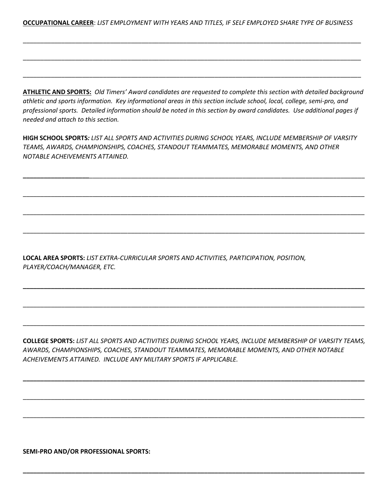**OCCUPATIONAL CAREER**: *LIST EMPLOYMENT WITH YEARS AND TITLES, IF SELF EMPLOYED SHARE TYPE OF BUSINESS*

\_\_\_\_\_\_\_\_\_\_\_\_\_\_\_\_\_\_\_\_\_\_\_\_\_\_\_\_\_\_\_\_\_\_\_\_\_\_\_\_\_\_\_\_\_\_\_\_\_\_\_\_\_\_\_\_\_\_\_\_\_\_\_\_\_\_\_\_\_\_\_\_\_\_\_\_\_\_\_\_\_\_\_\_\_\_\_\_\_\_\_\_\_\_\_\_\_

\_\_\_\_\_\_\_\_\_\_\_\_\_\_\_\_\_\_\_\_\_\_\_\_\_\_\_\_\_\_\_\_\_\_\_\_\_\_\_\_\_\_\_\_\_\_\_\_\_\_\_\_\_\_\_\_\_\_\_\_\_\_\_\_\_\_\_\_\_\_\_\_\_\_\_\_\_\_\_\_\_\_\_\_\_\_\_\_\_\_\_\_\_\_\_\_\_

\_\_\_\_\_\_\_\_\_\_\_\_\_\_\_\_\_\_\_\_\_\_\_\_\_\_\_\_\_\_\_\_\_\_\_\_\_\_\_\_\_\_\_\_\_\_\_\_\_\_\_\_\_\_\_\_\_\_\_\_\_\_\_\_\_\_\_\_\_\_\_\_\_\_\_\_\_\_\_\_\_\_\_\_\_\_\_\_\_\_\_\_\_\_\_\_\_

**ATHLETIC AND SPORTS:** *Old Timers' Award candidates are requested to complete this section with detailed background athletic and sports information. Key informational areas in this section include school, local, college, semi-pro, and professional sports. Detailed information should be noted in this section by award candidates. Use additional pages if needed and attach to this section.*

**HIGH SCHOOL SPORTS***: LIST ALL SPORTS AND ACTIVITIES DURING SCHOOL YEARS, INCLUDE MEMBERSHIP OF VARSITY TEAMS, AWARDS, CHAMPIONSHIPS, COACHES, STANDOUT TEAMMATES, MEMORABLE MOMENTS, AND OTHER NOTABLE ACHEIVEMENTS ATTAINED.*

**\_\_\_\_\_\_\_\_\_\_\_\_\_\_\_\_\_\_\_**\_\_\_\_\_\_\_\_\_\_\_\_\_\_\_\_\_\_\_\_\_\_\_\_\_\_\_\_\_\_\_\_\_\_\_\_\_\_\_\_\_\_\_\_\_\_\_\_\_\_\_\_\_\_\_\_\_\_\_\_\_\_\_\_\_\_\_\_\_\_\_\_\_\_\_\_\_\_\_

\_\_\_\_\_\_\_\_\_\_\_\_\_\_\_\_\_\_\_\_\_\_\_\_\_\_\_\_\_\_\_\_\_\_\_\_\_\_\_\_\_\_\_\_\_\_\_\_\_\_\_\_\_\_\_\_\_\_\_\_\_\_\_\_\_\_\_\_\_\_\_\_\_\_\_\_\_\_\_\_\_\_\_\_\_\_\_\_\_\_\_\_\_\_\_\_\_\_

\_\_\_\_\_\_\_\_\_\_\_\_\_\_\_\_\_\_\_\_\_\_\_\_\_\_\_\_\_\_\_\_\_\_\_\_\_\_\_\_\_\_\_\_\_\_\_\_\_\_\_\_\_\_\_\_\_\_\_\_\_\_\_\_\_\_\_\_\_\_\_\_\_\_\_\_\_\_\_\_\_\_\_\_\_\_\_\_\_\_\_\_\_\_\_\_\_\_

\_\_\_\_\_\_\_\_\_\_\_\_\_\_\_\_\_\_\_\_\_\_\_\_\_\_\_\_\_\_\_\_\_\_\_\_\_\_\_\_\_\_\_\_\_\_\_\_\_\_\_\_\_\_\_\_\_\_\_\_\_\_\_\_\_\_\_\_\_\_\_\_\_\_\_\_\_\_\_\_\_\_\_\_\_\_\_\_\_\_\_\_\_\_\_\_\_\_

**\_\_\_\_\_\_\_\_\_\_\_\_\_\_\_\_\_\_\_\_\_\_\_\_\_\_\_\_\_\_\_\_\_\_\_\_\_\_\_\_\_\_\_\_\_\_\_\_\_\_\_\_\_\_\_\_\_\_\_\_\_\_\_\_\_\_\_\_\_\_\_\_\_\_\_\_\_\_\_\_\_\_\_\_\_\_\_\_\_\_\_\_\_\_\_\_\_\_**

\_\_\_\_\_\_\_\_\_\_\_\_\_\_\_\_\_\_\_\_\_\_\_\_\_\_\_\_\_\_\_\_\_\_\_\_\_\_\_\_\_\_\_\_\_\_\_\_\_\_\_\_\_\_\_\_\_\_\_\_\_\_\_\_\_\_\_\_\_\_\_\_\_\_\_\_\_\_\_\_\_\_\_\_\_\_\_\_\_\_\_\_\_\_\_\_\_\_

\_\_\_\_\_\_\_\_\_\_\_\_\_\_\_\_\_\_\_\_\_\_\_\_\_\_\_\_\_\_\_\_\_\_\_\_\_\_\_\_\_\_\_\_\_\_\_\_\_\_\_\_\_\_\_\_\_\_\_\_\_\_\_\_\_\_\_\_\_\_\_\_\_\_\_\_\_\_\_\_\_\_\_\_\_\_\_\_\_\_\_\_\_\_\_\_\_\_

**LOCAL AREA SPORTS:** *LIST EXTRA-CURRICULAR SPORTS AND ACTIVITIES, PARTICIPATION, POSITION, PLAYER/COACH/MANAGER, ETC.*

**COLLEGE SPORTS:** *LIST ALL SPORTS AND ACTIVITIES DURING SCHOOL YEARS, INCLUDE MEMBERSHIP OF VARSITY TEAMS, AWARDS, CHAMPIONSHIPS, COACHES, STANDOUT TEAMMATES, MEMORABLE MOMENTS, AND OTHER NOTABLE ACHEIVEMENTS ATTAINED. INCLUDE ANY MILITARY SPORTS IF APPLICABLE.*

**\_\_\_\_\_\_\_\_\_\_\_\_\_\_\_\_\_\_\_\_\_\_\_\_\_\_\_\_\_\_\_\_\_\_\_\_\_\_\_\_\_\_\_\_\_\_\_\_\_\_\_\_\_\_\_\_\_\_\_\_\_\_\_\_\_\_\_\_\_\_\_\_\_\_\_\_\_\_\_\_\_\_\_\_\_\_\_\_\_\_\_\_\_\_\_\_\_\_**

\_\_\_\_\_\_\_\_\_\_\_\_\_\_\_\_\_\_\_\_\_\_\_\_\_\_\_\_\_\_\_\_\_\_\_\_\_\_\_\_\_\_\_\_\_\_\_\_\_\_\_\_\_\_\_\_\_\_\_\_\_\_\_\_\_\_\_\_\_\_\_\_\_\_\_\_\_\_\_\_\_\_\_\_\_\_\_\_\_\_\_\_\_\_\_\_\_\_

\_\_\_\_\_\_\_\_\_\_\_\_\_\_\_\_\_\_\_\_\_\_\_\_\_\_\_\_\_\_\_\_\_\_\_\_\_\_\_\_\_\_\_\_\_\_\_\_\_\_\_\_\_\_\_\_\_\_\_\_\_\_\_\_\_\_\_\_\_\_\_\_\_\_\_\_\_\_\_\_\_\_\_\_\_\_\_\_\_\_\_\_\_\_\_\_\_\_

**\_\_\_\_\_\_\_\_\_\_\_\_\_\_\_\_\_\_\_\_\_\_\_\_\_\_\_\_\_\_\_\_\_\_\_\_\_\_\_\_\_\_\_\_\_\_\_\_\_\_\_\_\_\_\_\_\_\_\_\_\_\_\_\_\_\_\_\_\_\_\_\_\_\_\_\_\_\_\_\_\_\_\_\_\_\_\_\_\_\_\_\_\_\_\_\_\_\_**

**SEMI-PRO AND/OR PROFESSIONAL SPORTS:**